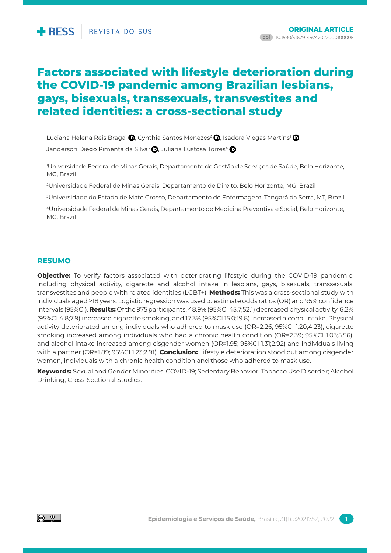# **Factors associated with lifestyle deterioration during the COVID-19 pandemic among Brazilian lesbians, gays, bisexuals, transsexuals, transvestites and related identities: a cross-sectional study**

Luciana Helena Reis Braga<sup>1</sup> (D), Cynthia Santos Menezes<sup>2</sup> (D), Isadora Viegas Martins<sup>1</sup> (D),

Janderson Diego Pimenta da Silva<sup>3</sup> (D. Juliana Lustosa Torres<sup>4</sup> (D

1 Universidade Federal de Minas Gerais, Departamento de Gestão de Serviços de Saúde, Belo Horizonte, MG, Brazil

2 Universidade Federal de Minas Gerais, Departamento de Direito, Belo Horizonte, MG, Brazil

3 Universidade do Estado de Mato Grosso, Departamento de Enfermagem, Tangará da Serra, MT, Brazil

4Universidade Federal de Minas Gerais, Departamento de Medicina Preventiva e Social, Belo Horizonte, MG, Brazil

# **RESUMO**

**Objective:** To verify factors associated with deteriorating lifestyle during the COVID-19 pandemic, including physical activity, cigarette and alcohol intake in lesbians, gays, bisexuals, transsexuals, transvestites and people with related identities (LGBT+). **Methods:** This was a cross-sectional study with individuals aged ≥18 years. Logistic regression was used to estimate odds ratios (OR) and 95% confidence intervals (95%CI). **Results:** Of the 975 participants, 48.9% (95%CI 45.7;52.1) decreased physical activity, 6.2% (95%CI 4.8;7.9) increased cigarette smoking, and 17.3% (95%CI 15.0;19.8) increased alcohol intake. Physical activity deteriorated among individuals who adhered to mask use (OR=2.26; 95%CI 1.20;4.23), cigarette smoking increased among individuals who had a chronic health condition (OR=2.39; 95%CI 1.03;5.56), and alcohol intake increased among cisgender women (OR=1.95; 95%CI 1.31;2.92) and individuals living with a partner (OR=1.89; 95%CI 1.23;2.91). **Conclusion:** Lifestyle deterioration stood out among cisgender women, individuals with a chronic health condition and those who adhered to mask use.

**Keywords:** Sexual and Gender Minorities; COVID-19; Sedentary Behavior; Tobacco Use Disorder; Alcohol Drinking; Cross-Sectional Studies.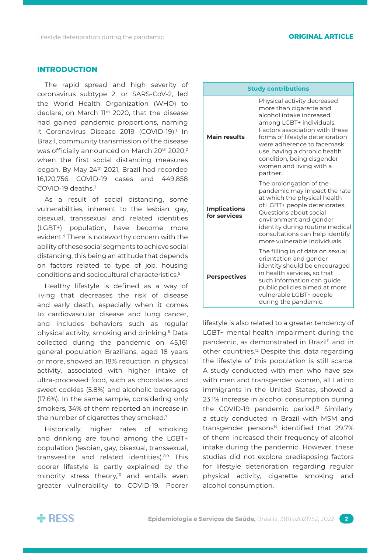## **INTRODUCTION**

The rapid spread and high severity of coronavirus subtype 2, or SARS-CoV-2, led the World Health Organization (WHO) to declare, on March 11<sup>th</sup> 2020, that the disease had gained pandemic proportions, naming it Coronavirus Disease 2019 (COVID-19).<sup>1</sup> In Brazil, community transmission of the disease was officially announced on March 20<sup>th</sup> 2020,<sup>2</sup> when the first social distancing measures began. By May 24<sup>th</sup> 2021, Brazil had recorded 16,120,756 COVID-19 cases and 449,858 COVID-19 deaths.3

As a result of social distancing, some vulnerabilities, inherent to the lesbian, gay, bisexual, transsexual and related identities (LGBT+) population, have become more evident.4 There is noteworthy concern with the ability of these social segments to achieve social distancing, this being an attitude that depends on factors related to type of job, housing conditions and sociocultural characteristics.5

Healthy lifestyle is defined as a way of living that decreases the risk of disease and early death, especially when it comes to cardiovascular disease and lung cancer, and includes behaviors such as regular physical activity, smoking and drinking.6 Data collected during the pandemic on 45,161 general population Brazilians, aged 18 years or more, showed an 18% reduction in physical activity, associated with higher intake of ultra-processed food, such as chocolates and sweet cookies (5.8%) and alcoholic beverages (17.6%). In the same sample, considering only smokers, 34% of them reported an increase in the number of cigarettes they smoked.7

Historically, higher rates of smoking and drinking are found among the LGBT+ population (lesbian, gay, bisexual, transsexual, transvestite and related identities).<sup>8,9</sup> This poorer lifestyle is partly explained by the minority stress theory, $10^{\circ}$  and entails even greater vulnerability to COVID-19. Poorer

| <b>Study contributions</b>          |                                                                                                                                                                                                                                                                                                                         |  |  |
|-------------------------------------|-------------------------------------------------------------------------------------------------------------------------------------------------------------------------------------------------------------------------------------------------------------------------------------------------------------------------|--|--|
| <b>Main results</b>                 | Physical activity decreased<br>more than cigarette and<br>alcohol intake increased<br>among LGBT+ individuals.<br>Factors association with these<br>forms of lifestyle deterioration<br>were adherence to facemask<br>use, having a chronic health<br>condition, being cisgender<br>women and living with a<br>partner. |  |  |
| <b>Implications</b><br>for services | The prolongation of the<br>pandemic may impact the rate<br>at which the physical health<br>of LGBT+ people deteriorates.<br>Questions about social<br>environment and gender<br>identity during routine medical<br>consultations can help identify<br>more vulnerable individuals.                                      |  |  |
| <b>Perspectives</b>                 | The filling in of data on sexual<br>orientation and gender<br>identity should be encouraged<br>in health services, so that<br>such information can guide<br>public policies aimed at more<br>vulnerable LGBT+ people<br>during the pandemic.                                                                            |  |  |

lifestyle is also related to a greater tendency of LGBT+ mental health impairment during the pandemic, as demonstrated in Brazil<sup>11</sup> and in other countries.12 Despite this, data regarding the lifestyle of this population is still scarce. A study conducted with men who have sex with men and transgender women, all Latino immigrants in the United States, showed a 23.1% increase in alcohol consumption during the COVID-19 pandemic period.<sup>13</sup> Similarly, a study conducted in Brazil with MSM and transgender persons $14$  identified that 29.7% of them increased their frequency of alcohol intake during the pandemic. However, these studies did not explore predisposing factors for lifestyle deterioration regarding regular physical activity, cigarette smoking and alcohol consumption.

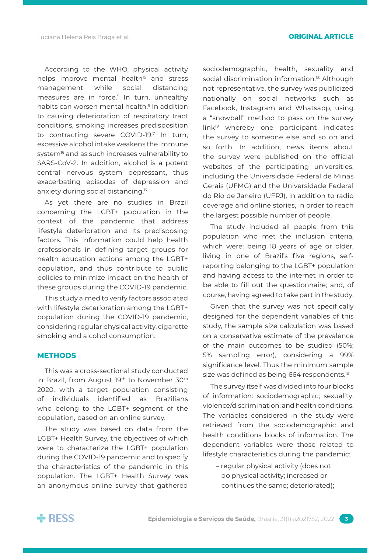According to the WHO, physical activity helps improve mental health<sup>15</sup> and stress management while social distancing measures are in force.<sup>5</sup> In turn, unhealthy habits can worsen mental health.5 In addition to causing deterioration of respiratory tract conditions, smoking increases predisposition to contracting severe COVID-19.7 In turn, excessive alcohol intake weakens the immune system<sup>16</sup> and as such increases vulnerability to SARS-CoV-2. In addition, alcohol is a potent central nervous system depressant, thus exacerbating episodes of depression and anxiety during social distancing.17

As yet there are no studies in Brazil concerning the LGBT+ population in the context of the pandemic that address lifestyle deterioration and its predisposing factors. This information could help health professionals in defining target groups for health education actions among the LGBT+ population, and thus contribute to public policies to minimize impact on the health of these groups during the COVID-19 pandemic.

This study aimed to verify factors associated with lifestyle deterioration among the LGBT+ population during the COVID-19 pandemic, considering regular physical activity, cigarette smoking and alcohol consumption.

#### **METHODS**

This was a cross-sectional study conducted in Brazil, from August 19<sup>th</sup> to November 30<sup>th</sup> 2020, with a target population consisting of individuals identified as Brazilians who belong to the LGBT+ segment of the population, based on an online survey.

The study was based on data from the LGBT+ Health Survey, the objectives of which were to characterize the LGBT+ population during the COVID-19 pandemic and to specify the characteristics of the pandemic in this population. The LGBT+ Health Survey was an anonymous online survey that gathered sociodemographic, health, sexuality and social discrimination information.<sup>18</sup> Although not representative, the survey was publicized nationally on social networks such as Facebook, Instagram and Whatsapp, using a "snowball" method to pass on the survey link19 whereby one participant indicates the survey to someone else and so on and so forth. In addition, news items about the survey were published on the official websites of the participating universities, including the Universidade Federal de Minas Gerais (UFMG) and the Universidade Federal do Rio de Janeiro (UFRJ), in addition to radio coverage and online stories, in order to reach the largest possible number of people.

The study included all people from this population who met the inclusion criteria, which were: being 18 years of age or older, living in one of Brazil's five regions, selfreporting belonging to the LGBT+ population and having access to the internet in order to be able to fill out the questionnaire; and, of course, having agreed to take part in the study.

Given that the survey was not specifically designed for the dependent variables of this study, the sample size calculation was based on a conservative estimate of the prevalence of the main outcomes to be studied (50%; 5% sampling error), considering a 99% significance level. Thus the minimum sample size was defined as being 664 respondents.<sup>18</sup>

The survey itself was divided into four blocks of information: sociodemographic; sexuality; violence/discrimination; and health conditions. The variables considered in the study were retrieved from the sociodemographic and health conditions blocks of information. The dependent variables were those related to lifestyle characteristics during the pandemic:

– regular physical activity (does not do physical activity; increased or continues the same; deteriorated);

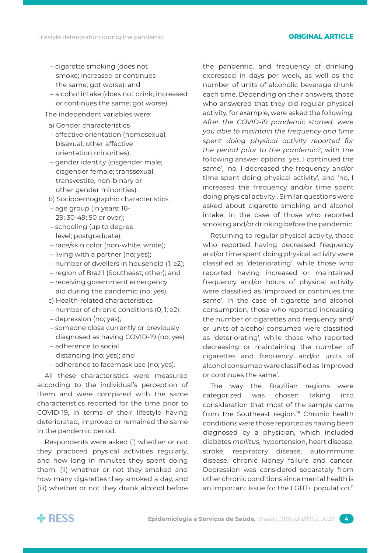- cigarette smoking (does not smoke; increased or continues the same; got worse); and
- alcohol intake (does not drink; increased or continues the same; got worse).

The independent variables were:

- a) Gender characteristics
- affective orientation (homosexual; bisexual; other affective orientation minorities);
- gender identity (cisgender male; cisgender female; transsexual, transvestite, non-binary or other gender minorities).
- b) Sociodemographic characteristics
- age group (in years: 18- 29; 30-49; 50 or over);
- schooling (up to degree level; postgraduate);
- race/skin color (non-white; white);
- living with a partner (no; yes);
- number of dwellers in household (1; ≥2);
- region of Brazil (Southeast; other); and
- receiving government emergency aid during the pandemic (no; yes).
- c) Health-related characteristics
- number of chronic conditions (0; 1; ≥2);
- depression (no; yes);
- someone close currently or previously diagnosed as having COVID-19 (no; yes).
- adherence to social distancing (no; yes); and
- adherence to facemask use (no; yes).

All these characteristics were measured according to the individual's perception of them and were compared with the same characteristics reported for the time prior to COVID-19, in terms of their lifestyle having deteriorated, improved or remained the same in the pandemic period.

Respondents were asked (i) whether or not they practiced physical activities regularly, and how long in minutes they spent doing them, (ii) whether or not they smoked and how many cigarettes they smoked a day, and (iii) whether or not they drank alcohol before the pandemic, and frequency of drinking expressed in days per week, as well as the number of units of alcoholic beverage drunk each time. Depending on their answers, those who answered that they did regular physical activity, for example, were asked the following: *After the COVID-19 pandemic started, were you able to maintain the frequency and time spent doing physical activity reported for the period prior to the pandemic?*, with the following answer options 'yes, I continued the same', 'no, I decreased the frequency and/or time spent doing physical activity', and 'no, I increased the frequency and/or time spent doing physical activity'. Similar questions were asked about cigarette smoking and alcohol intake, in the case of those who reported smoking and/or drinking before the pandemic.

Returning to regular physical activity, those who reported having decreased frequency and/or time spent doing physical activity were classified as 'deteriorating', while those who reported having increased or maintained frequency and/or hours of physical activity were classified as 'improved or continues the same'. In the case of cigarette and alcohol consumption, those who reported increasing the number of cigarettes and frequency and/ or units of alcohol consumed were classified as 'deteriorating', while those who reported decreasing or maintaining the number of cigarettes and frequency and/or units of alcohol consumed were classified as 'improved or continues the same'.

The way the Brazilian regions were categorized was chosen taking into consideration that most of the sample came from the Southeast region.<sup>18</sup> Chronic health conditions were those reported as having been diagnosed by a physician, which included diabetes *mellitus*, hypertension, heart disease, stroke, respiratory disease, autoimmune disease, chronic kidney failure and cancer. Depression was considered separately from other chronic conditions since mental health is an important issue for the LGBT+ population.<sup>11</sup>

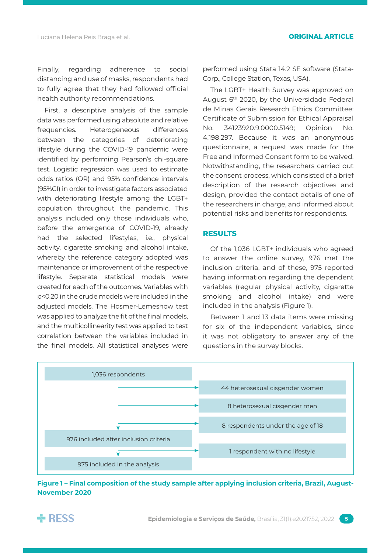Finally, regarding adherence to social distancing and use of masks, respondents had to fully agree that they had followed official health authority recommendations.

First, a descriptive analysis of the sample data was performed using absolute and relative frequencies. Heterogeneous differences between the categories of deteriorating lifestyle during the COVID-19 pandemic were identified by performing Pearson's chi-square test. Logistic regression was used to estimate odds ratios (OR) and 95% confidence intervals (95%CI) in order to investigate factors associated with deteriorating lifestyle among the LGBT+ population throughout the pandemic. This analysis included only those individuals who, before the emergence of COVID-19, already had the selected lifestyles, i.e., physical activity, cigarette smoking and alcohol intake, whereby the reference category adopted was maintenance or improvement of the respective lifestyle. Separate statistical models were created for each of the outcomes. Variables with p<0.20 in the crude models were included in the adjusted models. The Hosmer-Lemeshow test was applied to analyze the fit of the final models, and the multicollinearity test was applied to test correlation between the variables included in the final models. All statistical analyses were performed using Stata 14.2 SE software (Stata-Corp., College Station, Texas, USA).

The LGBT+ Health Survey was approved on August 6th 2020, by the Universidade Federal de Minas Gerais Research Ethics Committee: Certificate of Submission for Ethical Appraisal No. 34123920.9.0000.5149; Opinion No. 4.198.297. Because it was an anonymous questionnaire, a request was made for the Free and Informed Consent form to be waived. Notwithstanding, the researchers carried out the consent process, which consisted of a brief description of the research objectives and design, provided the contact details of one of the researchers in charge, and informed about potential risks and benefits for respondents.

# **RESULTS**

Of the 1,036 LGBT+ individuals who agreed to answer the online survey, 976 met the inclusion criteria, and of these, 975 reported having information regarding the dependent variables (regular physical activity, cigarette smoking and alcohol intake) and were included in the analysis (Figure 1).

Between 1 and 13 data items were missing for six of the independent variables, since it was not obligatory to answer any of the questions in the survey blocks.



**Figure 1 – Final composition of the study sample after applying inclusion criteria, Brazil, August-November 2020**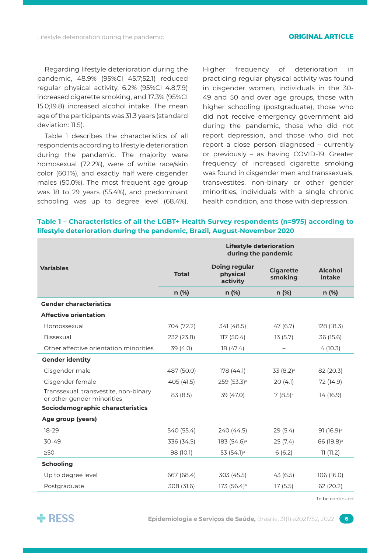Regarding lifestyle deterioration during the pandemic, 48.9% (95%CI 45.7;52.1) reduced regular physical activity, 6.2% (95%CI 4.8;7.9) increased cigarette smoking, and 17.3% (95%CI 15.0;19.8) increased alcohol intake. The mean age of the participants was 31.3 years (standard deviation: 11.5).

Table 1 describes the characteristics of all respondents according to lifestyle deterioration during the pandemic. The majority were homosexual (72.2%), were of white race/skin color (60.1%), and exactly half were cisgender males (50.0%). The most frequent age group was 18 to 29 years (55.4%), and predominant schooling was up to degree level (68.4%).

Higher frequency of deterioration in practicing regular physical activity was found in cisgender women, individuals in the 30- 49 and 50 and over age groups, those with higher schooling (postgraduate), those who did not receive emergency government aid during the pandemic, those who did not report depression, and those who did not report a close person diagnosed – currently or previously – as having COVID-19. Greater frequency of increased cigarette smoking was found in cisgender men and transsexuals, transvestites, non-binary or other gender minorities, individuals with a single chronic health condition, and those with depression.

# **Table 1 – Characteristics of all the LGBT+ Health Survey respondents (n=975) according to lifestyle deterioration during the pandemic, Brazil, August-November 2020**

| <b>Lifestyle deterioration</b><br>during the pandemic |                                              |                             |                          |  |  |
|-------------------------------------------------------|----------------------------------------------|-----------------------------|--------------------------|--|--|
| <b>Total</b>                                          | <b>Doing regular</b><br>physical<br>activity | <b>Cigarette</b><br>smoking | <b>Alcohol</b><br>intake |  |  |
| n (%)                                                 | $n$ (%)                                      | $n$ (%)                     | $n$ (%)                  |  |  |
|                                                       |                                              |                             |                          |  |  |
|                                                       |                                              |                             |                          |  |  |
| 704 (72.2)                                            | 341 (48.5)                                   | 47(6.7)                     | 128 (18.3)               |  |  |
| 232 (23.8)                                            | 117 (50.4)                                   | 13(5.7)                     | 36 (15.6)                |  |  |
| 39 (4.0)                                              | 18 (47.4)                                    |                             | 4(10.3)                  |  |  |
|                                                       |                                              |                             |                          |  |  |
| 487 (50.0)                                            | 178 (44.1)                                   | $33(8.2)$ <sup>a</sup>      | 82 (20.3)                |  |  |
| 405 (41.5)                                            | 259 (53.3) <sup>a</sup>                      | 20(4.1)                     | 72 (14.9)                |  |  |
| 83 (8.5)                                              | 39 (47.0)                                    | $7(8.5)$ <sup>a</sup>       | 14(16.9)                 |  |  |
|                                                       |                                              |                             |                          |  |  |
|                                                       |                                              |                             |                          |  |  |
| 540 (55.4)                                            | 240 (44.5)                                   | 29(5.4)                     | 91 (16.9) <sup>a</sup>   |  |  |
| 336 (34.5)                                            | 183 (54.6) <sup>a</sup>                      | 25(7.4)                     | 66 (19.8) <sup>a</sup>   |  |  |
| 98 (10.1)                                             | 53 (54.1) <sup>a</sup>                       | 6(6.2)                      | 11(11.2)                 |  |  |
|                                                       |                                              |                             |                          |  |  |
| 667 (68.4)                                            | 303 (45.5)                                   | 43(6.5)                     | 106 (16.0)               |  |  |
| 308 (31.6)                                            | 173 (56.4) <sup>a</sup><br>17(5.5)           |                             | 62 (20.2)                |  |  |
|                                                       |                                              |                             |                          |  |  |

To be continued

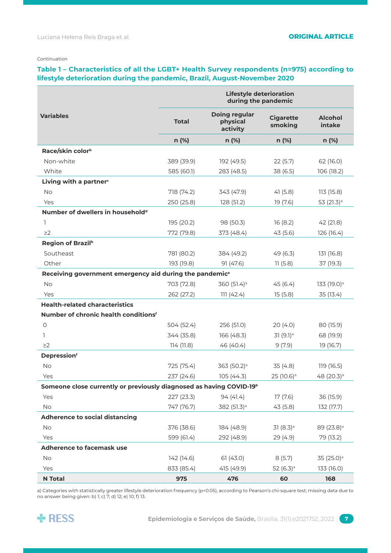#### Continuation

# **Table 1 – Characteristics of all the LGBT+ Health Survey respondents (n=975) according to lifestyle deterioration during the pandemic, Brazil, August-November 2020**

|                                                                                 | <b>Lifestyle deterioration</b><br>during the pandemic |                                              |                                                         |                          |  |
|---------------------------------------------------------------------------------|-------------------------------------------------------|----------------------------------------------|---------------------------------------------------------|--------------------------|--|
| <b>Variables</b>                                                                | <b>Total</b>                                          | <b>Doing regular</b><br>physical<br>activity | <b>Cigarette</b><br><b>Alcohol</b><br>smoking<br>intake |                          |  |
|                                                                                 | n (%)                                                 | n (%)                                        | n (%)                                                   | n (%)                    |  |
| Race/skin color <sup>b</sup>                                                    |                                                       |                                              |                                                         |                          |  |
| Non-white                                                                       | 389 (39.9)                                            | 192 (49.5)                                   | 22(5.7)                                                 | 62 (16.0)                |  |
| White                                                                           | 585 (60.1)                                            | 283 (48.5)                                   | 38 (6.5)                                                | 106 (18.2)               |  |
| Living with a partner <sup>c</sup>                                              |                                                       |                                              |                                                         |                          |  |
| No                                                                              | 718 (74.2)                                            | 343 (47.9)                                   | 41(5.8)                                                 | 113 (15.8)               |  |
| Yes                                                                             | 250 (25.8)                                            | 128 (51.2)<br>19 (7.6)                       |                                                         | 53 $(21.3)$ <sup>a</sup> |  |
| Number of dwellers in household <sup>d</sup>                                    |                                                       |                                              |                                                         |                          |  |
| 1                                                                               | 195 (20.2)                                            | 98 (50.3)                                    | 16(8.2)                                                 | 42 (21.8)                |  |
| $\geq$ 2                                                                        | 772 (79.8)                                            | 373 (48.4)                                   | 43(5.6)                                                 | 126 (16.4)               |  |
| Region of Brazil <sup>b</sup>                                                   |                                                       |                                              |                                                         |                          |  |
| Southeast                                                                       | 781 (80.2)                                            | 384 (49.2)                                   | 49 (6.3)                                                | 131 (16.8)               |  |
| Other                                                                           | 193 (19.8)                                            | 91 (47.6)                                    | 11(5.8)                                                 | 37 (19.3)                |  |
| Receiving government emergency aid during the pandemic <sup>e</sup>             |                                                       |                                              |                                                         |                          |  |
| <b>No</b>                                                                       | 703 (72.8)                                            | 360 (51.4) <sup>a</sup>                      | 45(6.4)                                                 | 133 (19.0) <sup>a</sup>  |  |
| Yes                                                                             | 262 (27.2)                                            | 111(42.4)                                    | 15(5.8)                                                 | 35 (13.4)                |  |
| <b>Health-related characteristics</b>                                           |                                                       |                                              |                                                         |                          |  |
| Number of chronic health conditions <sup>f</sup>                                |                                                       |                                              |                                                         |                          |  |
| $\circ$                                                                         | 504 (52.4)                                            | 256 (51.0)                                   | 20(4.0)                                                 | 80 (15.9)                |  |
| 1                                                                               | 344 (35.8)                                            | 166 (48.3)<br>$31(9.1)$ <sup>a</sup>         |                                                         | 68 (19.9)                |  |
| $\geq$ 2                                                                        | 114(11.8)                                             | 46 (40.4)<br>9(7.9)                          |                                                         | 19 (16.7)                |  |
| <b>Depressionf</b>                                                              |                                                       |                                              |                                                         |                          |  |
| <b>No</b>                                                                       | 725 (75.4)                                            | 363 (50.2) <sup>a</sup><br>35 (4.8)          |                                                         | 119 (16.5)               |  |
| Yes                                                                             | 237 (24.6)                                            | 105(44.3)                                    | 25 (10.6) <sup>a</sup>                                  | 48 (20.3) <sup>a</sup>   |  |
| Someone close currently or previously diagnosed as having COVID-19 <sup>b</sup> |                                                       |                                              |                                                         |                          |  |
| Yes                                                                             | 227 (23.3)                                            | 94(41.4)                                     | 17(7.6)                                                 | 36 (15.9)                |  |
| No                                                                              | 747 (76.7)                                            | 382 (51.3) <sup>a</sup>                      | 43(5.8)                                                 | 132 (17.7)               |  |
| <b>Adherence to social distancing</b>                                           |                                                       |                                              |                                                         |                          |  |
| <b>No</b>                                                                       | 376 (38.6)                                            | 184 (48.9)                                   | $31(8.3)$ <sup>a</sup>                                  | 89 (23.8) <sup>a</sup>   |  |
| Yes                                                                             | 599 (61.4)                                            | 292 (48.9)                                   | 29 (4.9)                                                | 79 (13.2)                |  |
| Adherence to facemask use                                                       |                                                       |                                              |                                                         |                          |  |
| No                                                                              | 142 (14.6)                                            | 61(43.0)                                     | 8(5.7)                                                  | 35 (25.0) <sup>a</sup>   |  |
| Yes                                                                             | 833 (85.4)                                            | 415 (49.9)                                   | 52 $(6.3)$ <sup>a</sup>                                 | 133 (16.0)               |  |
| <b>N</b> Total                                                                  | 975                                                   | 476                                          | 60                                                      | 168                      |  |

a) Categories with statistically greater lifestyle deterioration frequency (p<0.05), according to Pearson's chi-square test; missing data due to no answer being given: b) 1; c) 7; d) 12; e) 10; f) 13.

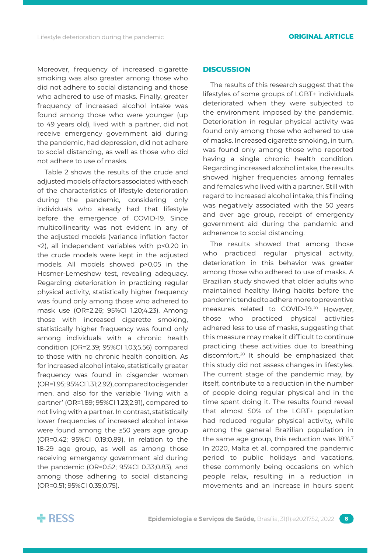Moreover, frequency of increased cigarette smoking was also greater among those who did not adhere to social distancing and those who adhered to use of masks. Finally, greater frequency of increased alcohol intake was found among those who were younger (up to 49 years old), lived with a partner, did not receive emergency government aid during the pandemic, had depression, did not adhere to social distancing, as well as those who did not adhere to use of masks.

Table 2 shows the results of the crude and adjusted models of factors associated with each of the characteristics of lifestyle deterioration during the pandemic, considering only individuals who already had that lifestyle before the emergence of COVID-19. Since multicollinearity was not evident in any of the adjusted models (variance inflation factor <2), all independent variables with p<0.20 in the crude models were kept in the adjusted models. All models showed p>0.05 in the Hosmer-Lemeshow test, revealing adequacy. Regarding deterioration in practicing regular physical activity, statistically higher frequency was found only among those who adhered to mask use (OR=2.26; 95%CI 1.20;4.23). Among those with increased cigarette smoking, statistically higher frequency was found only among individuals with a chronic health condition (OR=2.39; 95%CI 1.03;5.56) compared to those with no chronic health condition. As for increased alcohol intake, statistically greater frequency was found in cisgender women (OR=1.95; 95%CI 1.31;2.92), compared to cisgender men, and also for the variable 'living with a partner' (OR=1.89; 95%CI 1.23;2.91), compared to not living with a partner. In contrast, statistically lower frequencies of increased alcohol intake were found among the ≥50 years age group (OR=0.42; 95%CI 0.19;0.89), in relation to the 18-29 age group, as well as among those receiving emergency government aid during the pandemic (OR=0.52; 95%CI 0.33;0.83), and among those adhering to social distancing (OR=0.51; 95%CI 0.35;0.75).

### **DISCUSSION**

The results of this research suggest that the lifestyles of some groups of LGBT+ individuals deteriorated when they were subjected to the environment imposed by the pandemic. Deterioration in regular physical activity was found only among those who adhered to use of masks. Increased cigarette smoking, in turn, was found only among those who reported having a single chronic health condition. Regarding increased alcohol intake, the results showed higher frequencies among females and females who lived with a partner. Still with regard to increased alcohol intake, this finding was negatively associated with the 50 years and over age group, receipt of emergency government aid during the pandemic and adherence to social distancing.

The results showed that among those who practiced regular physical activity, deterioration in this behavior was greater among those who adhered to use of masks. A Brazilian study showed that older adults who maintained healthy living habits before the pandemic tended to adhere more to preventive measures related to COVID-19.<sup>20</sup> However, those who practiced physical activities adhered less to use of masks, suggesting that this measure may make it difficult to continue practicing these activities due to breathing discomfort.20 It should be emphasized that this study did not assess changes in lifestyles. The current stage of the pandemic may, by itself, contribute to a reduction in the number of people doing regular physical and in the time spent doing it. The results found reveal that almost 50% of the LGBT+ population had reduced regular physical activity, while among the general Brazilian population in the same age group, this reduction was 18%.<sup>7</sup> In 2020, Malta et al. compared the pandemic period to public holidays and vacations, these commonly being occasions on which people relax, resulting in a reduction in movements and an increase in hours spent

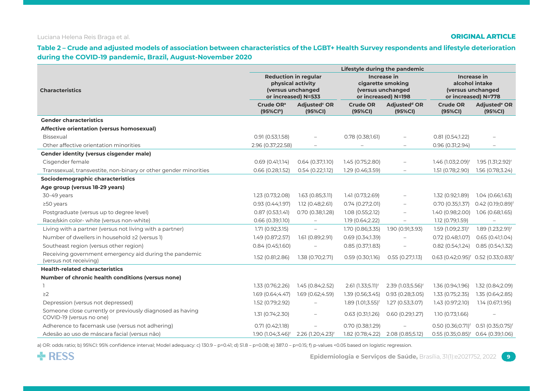## Luciana Helena Reis Braga et al. **ORIGINAL ARTICLE**

**Table 2 – Crude and adjusted models of association between characteristics of the LGBT+ Health Survey respondents and lifestyle deterioration during the COVID-19 pandemic, Brazil, August-November 2020**

|                                                                                       | Lifestyle during the pandemic                                                                |                                     |                                                                              |                                     |                                                                                  |                                     |
|---------------------------------------------------------------------------------------|----------------------------------------------------------------------------------------------|-------------------------------------|------------------------------------------------------------------------------|-------------------------------------|----------------------------------------------------------------------------------|-------------------------------------|
| <b>Characteristics</b>                                                                | <b>Reduction in regular</b><br>physical activity<br>(versus unchanged<br>or increased) N=533 |                                     | Increase in<br>cigarette smoking<br>(versus unchanged<br>or increased) N=198 |                                     | <b>Increase in</b><br>alcohol intake<br>(versus unchanged<br>or increased) N=778 |                                     |
|                                                                                       | Crude OR <sup>a</sup><br>(95%Clb)                                                            | Adjusted <sup>c</sup> OR<br>(95%CI) | <b>Crude OR</b><br>(95%CI)                                                   | Adjusted <sup>d</sup> OR<br>(95%CI) | <b>Crude OR</b><br>(95%CI)                                                       | Adjusted <sup>e</sup> OR<br>(95%CI) |
| <b>Gender characteristics</b>                                                         |                                                                                              |                                     |                                                                              |                                     |                                                                                  |                                     |
| Affective orientation (versus homosexual)                                             |                                                                                              |                                     |                                                                              |                                     |                                                                                  |                                     |
| <b>Bissexual</b>                                                                      | 0.91(0.53;1.58)                                                                              | $\overline{a}$                      | $0.78$ (0.38;1.61)                                                           | $\overline{\phantom{0}}$            | 0.81(0.54;1.22)                                                                  |                                     |
| Other affective orientation minorities                                                | 2.96 (0.37;22.58)                                                                            |                                     |                                                                              | $\overline{a}$                      | 0.96(0.31;2.94)                                                                  |                                     |
| <b>Gender identity (versus cisgender male)</b>                                        |                                                                                              |                                     |                                                                              |                                     |                                                                                  |                                     |
| Cisgender female                                                                      | 0.69(0.41;1.14)                                                                              | 0.64(0.37;1.10)                     | 1.45 (0.75;2.80)                                                             |                                     | 1.46 (1.03;2.09) <sup>f</sup>                                                    | 1.95 (1.31;2.92) <sup>f</sup>       |
| Transsexual, transvestite, non-binary or other gender minorities                      | 0.66 (0.28;1.52)                                                                             | 0.54(0.22;1.12)                     | 1.29 (0.46;3.59)                                                             |                                     | 1.51 (0.78;2.90)                                                                 | 1.56 (0.78;3.24)                    |
| Sociodemographic characteristics                                                      |                                                                                              |                                     |                                                                              |                                     |                                                                                  |                                     |
| Age group (versus 18-29 years)                                                        |                                                                                              |                                     |                                                                              |                                     |                                                                                  |                                     |
| 30-49 years                                                                           | 1.23 (0.73;2.08)                                                                             | 1.63(0.85;3.11)                     | 1.41(0.73;2.69)                                                              | $\overline{\phantom{0}}$            | 1.32 (0.92;1.89)                                                                 | 1.04(0.66;1.63)                     |
| $≥50$ years                                                                           | 0.93(0.44;1.97)                                                                              | 1.12(0.48;2.61)                     | 0.74(0.27;2.01)                                                              | $\overline{\phantom{a}}$            | $0.70$ (0.35;1.37)                                                               | 0.42 (0.19;0.89) <sup>f</sup>       |
| Postgraduate (versus up to degree level)                                              | 0.87(0.53;1.41)                                                                              | 0.70 (0.38;1.28)                    | 1.08(0.55;2.12)                                                              | $\overline{\phantom{0}}$            | 1.40 (0.98;2.00)                                                                 | 1.06 (0.68;1.65)                    |
| Race/skin color- white (versus non-white)                                             | 0.66(0.39;1.10)                                                                              | $\overline{\phantom{0}}$            | 1.19 (0.64;2.22)                                                             | $\overline{\phantom{m}}$            | 1.12 (0.79;1.59)                                                                 | $\overline{\phantom{m}}$            |
| Living with a partner (versus not living with a partner)                              | 1.71 (0.92;3.15)                                                                             | $\frac{1}{2}$                       | 1.70 (0.86;3.35)                                                             | 1.90 (0.91;3.93)                    | 1.59 (1.09;2.31) <sup>f</sup>                                                    | 1.89 (1.23;2.91) <sup>f</sup>       |
| Number of dwellers in household ≥2 (versus 1)                                         | 1.49 (0.87;2.57)                                                                             | 1.61 (0.89;2.91)                    | $0.69$ (0.34;1.39)                                                           |                                     | $0.72$ (0.48;1.07)                                                               | 0.65(0.41;1.04)                     |
| Southeast region (versus other region)                                                | 0.84(0.45;1.60)                                                                              |                                     | 0.85(0.37;1.83)                                                              |                                     | $0.82$ (0.54;1.24)                                                               | 0.85 (0.54;1.32)                    |
| Receiving government emergency aid during the pandemic<br>(versus not receiving)      | 1.52 (0.81;2.86)                                                                             | 1.38 (0.70;2.71)                    | 0.59(0.30;1.16)                                                              | 0.55(0.27;1.13)                     | $0.63$ (0.42;0.95) <sup>f</sup>                                                  | $0.52$ (0.33;0.83) <sup>f</sup>     |
| <b>Health-related characteristics</b>                                                 |                                                                                              |                                     |                                                                              |                                     |                                                                                  |                                     |
| Number of chronic health conditions (versus none)                                     |                                                                                              |                                     |                                                                              |                                     |                                                                                  |                                     |
|                                                                                       | 1.33 (0.76;2.26)                                                                             | 1.45 (0.84;2.52)                    | 2.61 (1.33;5.11) <sup>f</sup>                                                | 2.39 (1.03;5.56) <sup>f</sup>       | 1.36 (0.94;1.96)                                                                 | 1.32 (0.84;2.09)                    |
| $\geq$ 2                                                                              | 1.69 (0.64;4.47)                                                                             | 1.69 (0.62;4.59)                    | 1.39(0.56; 3.45)                                                             | 0.93(0.28; 3.05)                    | 1.33(0.75;2.35)                                                                  | 1.35 (0.64;2.85)                    |
| Depression (versus not depressed)                                                     | 1.52 (0.79;2.92)                                                                             | $\overline{\phantom{0}}$            | 1.89 (1.01;3.55) <sup>f</sup>                                                | 1.27 (0.53;3.07)                    | 1.43 (0.97;2.10)                                                                 | 1.14 (0.67;1.95)                    |
| Someone close currently or previously diagnosed as having<br>COVID-19 (versus no one) | 1.31 (0.74;2.30)                                                                             | $\overline{\phantom{0}}$            | $0.63$ $(0.31;1.26)$                                                         | 0.60(0.29;1.27)                     | 1.10(0.73;1.66)                                                                  |                                     |
| Adherence to facemask use (versus not adhering)                                       | 0.71(0.42;1.18)                                                                              |                                     | 0.70 (0.38;1.29)                                                             |                                     | $0.50$ (0.36;0.71) <sup>f</sup>                                                  | $0.51(0.35;0.75)^f$                 |
| Adesão ao uso de máscara facial (versus não)                                          | 1.90 (1.04;3.46) <sup>f</sup>                                                                | $2.26$ (1.20;4.23) <sup>f</sup>     | 1.82 (0.78;4.22)                                                             | 2.08 (0.85;5.12)                    | $0.55(0.35;0.85)^f$                                                              | 0.64(0.39;1.06)                     |

a) OR: odds ratio; b) 95%CI: 95% confidence interval; Model adequacy: c) 130.9 – p=0.41; d) 51.8 – p=0.08; e) 387.0 – p=0.15; f) p-values <0.05 based on logistic regression.

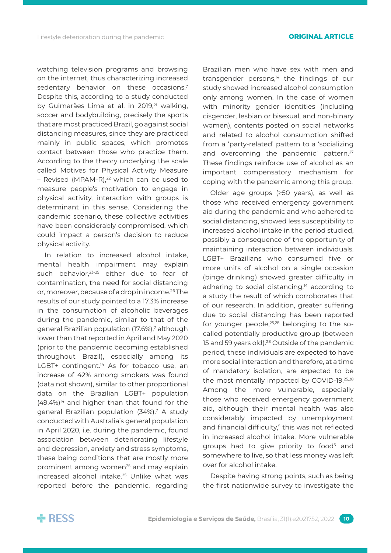watching television programs and browsing on the internet, thus characterizing increased sedentary behavior on these occasions.7 Despite this, according to a study conducted by Guimarães Lima et al. in 2019,<sup>21</sup> walking, soccer and bodybuilding, precisely the sports that are most practiced Brazil, go against social distancing measures, since they are practiced mainly in public spaces, which promotes contact between those who practice them. According to the theory underlying the scale called Motives for Physical Activity Measure  $-$  Revised (MPAM-R),<sup>22</sup> which can be used to measure people's motivation to engage in physical activity, interaction with groups is determinant in this sense. Considering the pandemic scenario, these collective activities have been considerably compromised, which could impact a person's decision to reduce physical activity.

In relation to increased alcohol intake, mental health impairment may explain such behavior,<sup>23-25</sup> either due to fear of contamination, the need for social distancing or, moreover, because of a drop in income.26 The results of our study pointed to a 17.3% increase in the consumption of alcoholic beverages during the pandemic, similar to that of the general Brazilian population (17.6%),7 although lower than that reported in April and May 2020 (prior to the pandemic becoming established throughout Brazil), especially among its LGBT+ contingent.<sup>14</sup> As for tobacco use, an increase of 42% among smokers was found (data not shown), similar to other proportional data on the Brazilian LGBT+ population  $(49.4%)$ <sup>14</sup> and higher than that found for the general Brazilian population (34%).7 A study conducted with Australia's general population in April 2020, i.e. during the pandemic, found association between deteriorating lifestyle and depression, anxiety and stress symptoms, these being conditions that are mostly more prominent among women<sup>25</sup> and may explain increased alcohol intake.<sup>25</sup> Unlike what was reported before the pandemic, regarding

Brazilian men who have sex with men and transgender persons, $14$  the findings of our study showed increased alcohol consumption only among women. In the case of women with minority gender identities (including cisgender, lesbian or bisexual, and non-binary women), contents posted on social networks and related to alcohol consumption shifted from a 'party-related' pattern to a 'socializing and overcoming the pandemic' pattern.<sup>27</sup> These findings reinforce use of alcohol as an important compensatory mechanism for coping with the pandemic among this group.

Older age groups (≥50 years), as well as those who received emergency government aid during the pandemic and who adhered to social distancing, showed less susceptibility to increased alcohol intake in the period studied, possibly a consequence of the opportunity of maintaining interaction between individuals. LGBT+ Brazilians who consumed five or more units of alcohol on a single occasion (binge drinking) showed greater difficulty in adhering to social distancing,<sup>14</sup> according to a study the result of which corroborates that of our research. In addition, greater suffering due to social distancing has been reported for younger people,<sup>25,28</sup> belonging to the socalled potentially productive group (between 15 and 59 years old).<sup>28</sup> Outside of the pandemic period, these individuals are expected to have more social interaction and therefore, at a time of mandatory isolation, are expected to be the most mentally impacted by COVID-19.25,28 Among the more vulnerable, especially those who received emergency government aid, although their mental health was also considerably impacted by unemployment and financial difficulty,<sup>5</sup> this was not reflected in increased alcohol intake. More vulnerable groups had to give priority to food<sup>5</sup> and somewhere to live, so that less money was left over for alcohol intake.

Despite having strong points, such as being the first nationwide survey to investigate the

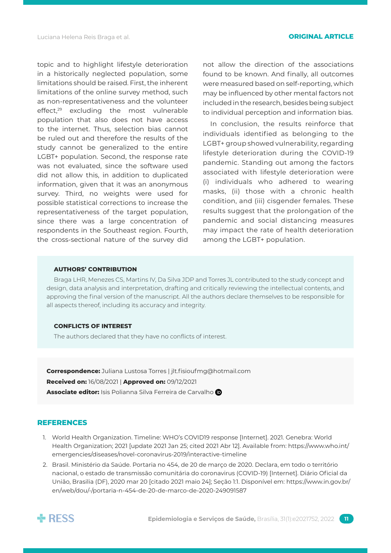topic and to highlight lifestyle deterioration in a historically neglected population, some limitations should be raised. First, the inherent limitations of the online survey method, such as non-representativeness and the volunteer effect,29 excluding the most vulnerable population that also does not have access to the internet. Thus, selection bias cannot be ruled out and therefore the results of the study cannot be generalized to the entire LGBT+ population. Second, the response rate was not evaluated, since the software used did not allow this, in addition to duplicated information, given that it was an anonymous survey. Third, no weights were used for possible statistical corrections to increase the representativeness of the target population, since there was a large concentration of respondents in the Southeast region. Fourth, the cross-sectional nature of the survey did

not allow the direction of the associations found to be known. And finally, all outcomes were measured based on self-reporting, which may be influenced by other mental factors not included in the research, besides being subject to individual perception and information bias.

In conclusion, the results reinforce that individuals identified as belonging to the LGBT+ group showed vulnerability, regarding lifestyle deterioration during the COVID-19 pandemic. Standing out among the factors associated with lifestyle deterioration were (i) individuals who adhered to wearing masks, (ii) those with a chronic health condition, and (iii) cisgender females. These results suggest that the prolongation of the pandemic and social distancing measures may impact the rate of health deterioration among the LGBT+ population.

### **AUTHORS' CONTRIBUTION**

Braga LHR, Menezes CS, Martins IV, Da Silva JDP and Torres JL contributed to the study concept and design, data analysis and interpretation, drafting and critically reviewing the intellectual contents, and approving the final version of the manuscript. All the authors declare themselves to be responsible for all aspects thereof, including its accuracy and integrity.

### **CONFLICTS OF INTEREST**

The authors declared that they have no conflicts of interest.

**Correspondence:** Juliana Lustosa Torres | [jlt.fisioufmg@hotmail.com](mailto:jlt.fisioufmg@hotmail.com) **Received on:** 16/08/2021 | **Approved on:** 09/12/2021 **Associate editor:** Isis Polianna Silva Ferreira de Carvalho

### **REFERENCES**

- 1. World Health Organization. Timeline: WHO's COVID19 response [Internet]. 2021. Genebra: World Health Organization; 2021 [update 2021 Jan 25; cited 2021 Abr 12]. Available from: [https://www.who.int/](https://www.who.int/emergencies/diseases/novel-coronavirus-2019/interactive-timeline) [emergencies/diseases/novel-coronavirus-2019/interactive-timeline](https://www.who.int/emergencies/diseases/novel-coronavirus-2019/interactive-timeline)
- 2. Brasil. Ministério da Saúde. Portaria no 454, de 20 de março de 2020. Declara, em todo o território nacional, o estado de transmissão comunitária do coronavirus (COVID-19) [Internet]. Diário Oficial da União, Brasilia (DF), 2020 mar 20 [citado 2021 maio 24]; Seção 1:1. Disponível em: [https://www.in.gov.br/](https://www.in.gov.br/en/web/dou/-/portaria-n-454-de-20-de-marco-de-2020-249091587 ) [en/web/dou/-/portaria-n-454-de-20-de-marco-de-2020-249091587](https://www.in.gov.br/en/web/dou/-/portaria-n-454-de-20-de-marco-de-2020-249091587 )

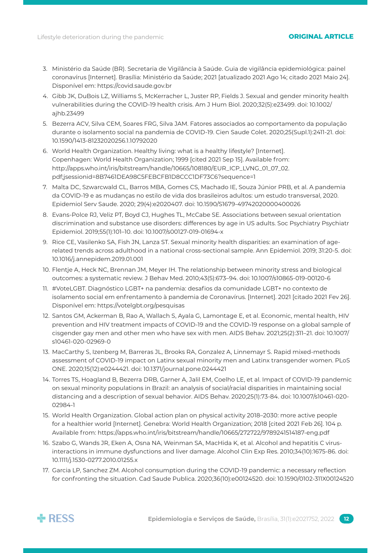- 3. Ministério da Saúde (BR). Secretaria de Vigilância à Saúde. Guia de vigilância epidemiológica: painel coronavírus [Internet]. Brasília: Ministério da Saúde; 2021 [atualizado 2021 Ago 14; citado 2021 Maio 24]. Disponível em:<https://covid.saude.gov.br>
- 4. Gibb JK, DuBois LZ, Williams S, McKerracher L, Juster RP, Fields J. Sexual and gender minority health vulnerabilities during the COVID-19 health crisis. Am J Hum Biol. 2020;32(5):e23499. doi: [10.1002/](https://doi.org/10.1002/ajhb.23499) [ajhb.23499](https://doi.org/10.1002/ajhb.23499)
- 5. Bezerra ACV, Silva CEM, Soares FRG, Silva JAM. Fatores associados ao comportamento da população durante o isolamento social na pandemia de COVID-19. Cien Saude Colet. 2020;25(Supl.1):2411-21. doi: [10.1590/1413-81232020256.1.10792020](https://doi.org/10.1590/1413-81232020256.1.10792020)
- 6. World Health Organization. Healthy living: what is a healthy lifestyle? [Internet]. Copenhagen: World Health Organization; 1999 [cited 2021 Sep 15]. Available from: http://apps.who.int/iris/bitstream/handle/10665/108180/EUR\_ICP\_LVNG\_01\_07\_02. pdf;jsessionid=8B7461DEA98C5FEBCFB1D8CCC1DF73C6?sequence=1
- 7. Malta DC, Szwarcwald CL, Barros MBA, Gomes CS, Machado IE, Souza Júnior PRB, et al. A pandemia da COVID-19 e as mudanças no estilo de vida dos brasileiros adultos: um estudo transversal, 2020. Epidemiol Serv Saude. 2020; 29(4):e2020407. doi: [10.1590/S1679-49742020000400026](https://doi.org/10.1590/s1679-49742020000400026)
- 8. Evans-Polce RJ, Veliz PT, Boyd CJ, Hughes TL, McCabe SE. Associations between sexual orientation discrimination and substance use disorders: differences by age in US adults. Soc Psychiatry Psychiatr Epidemiol. 2019;55(1):101–10. doi: [10.1007/s00127-019-01694-x](https://doi.org/10.1007/s00127-019-01694-x)
- 9. Rice CE, Vasilenko SA, Fish JN, Lanza ST. Sexual minority health disparities: an examination of agerelated trends across adulthood in a national cross-sectional sample. Ann Epidemiol. 2019; 31:20-5. doi: [10.1016/j.annepidem.2019.01.001](https://doi.org/10.1016/j.annepidem.2019.01.001)
- 10. Flentje A, Heck NC, Brennan JM, Meyer IH. The relationship between minority stress and biological outcomes: a systematic review. J Behav Med. 2010;43(5):673–94. doi: [10.1007/s10865-019-00120-6](https://doi.org/10.1007/s10865-019-00120-6)
- 11. #VoteLGBT. Diagnóstico LGBT+ na pandemia: desafios da comunidade LGBT+ no contexto de isolamento social em enfrentamento à pandemia de Coronavírus. [Internet]. 2021 [citado 2021 Fev 26]. Disponível em:<https://votelgbt.org/pesquisas>
- 12. Santos GM, Ackerman B, Rao A, Wallach S, Ayala G, Lamontage E, et al. Economic, mental health, HIV prevention and HIV treatment impacts of COVID-19 and the COVID-19 response on a global sample of cisgender gay men and other men who have sex with men. AIDS Behav. 2021;25(2):311–21. doi: [10.1007/](https://doi.org/10.1007/s10461-020-02969-0) [s10461-020-02969-0](https://doi.org/10.1007/s10461-020-02969-0)
- 13. MacCarthy S, Izenberg M, Barreras JL, Brooks RA, Gonzalez A, Linnemayr S. Rapid mixed-methods assessment of COVID-19 impact on Latinx sexual minority men and Latinx transgender women. PLoS ONE. 2020;15(12):e0244421. doi: [10.1371/journal.pone.0244421](https://doi.org/10.1371/journal.pone.0244421)
- 14. Torres TS, Hoagland B, Bezerra DRB, Garner A, Jalil EM, Coelho LE, et al. Impact of COVID-19 pandemic on sexual minority populations in Brazil: an analysis of social/racial disparities in maintaining social distancing and a description of sexual behavior. AIDS Behav. 2020;25(1):73-84. doi: [10.1007/s10461-020-](https://doi.org/10.1007/s10461-020-02984-1) [02984-1](https://doi.org/10.1007/s10461-020-02984-1)
- 15. World Health Organization. Global action plan on physical activity 2018–2030: more active people for a healthier world [Internet]. Genebra: World Health Organization; 2018 [cited 2021 Feb 26]. 104 p. Available from: <https://apps.who.int/iris/bitstream/handle/10665/272722/9789241514187-eng.pdf>
- 16. Szabo G, Wands JR, Eken A, Osna NA, Weinman SA, MacHida K, et al. Alcohol and hepatitis C virusinteractions in immune dysfunctions and liver damage. Alcohol Clin Exp Res. 2010;34(10):1675-86. doi: [10.1111/j.1530-0277.2010.01255.x](https://doi.org/10.1111/j.1530-0277.2010.01255.x)
- 17. Garcia LP, Sanchez ZM. Alcohol consumption during the COVID-19 pandemic: a necessary reflection for confronting the situation. Cad Saude Publica. 2020;36(10):e00124520. doi: [10.1590/0102-311X00124520](https://doi.org/10.1590/0102-311x00124520)